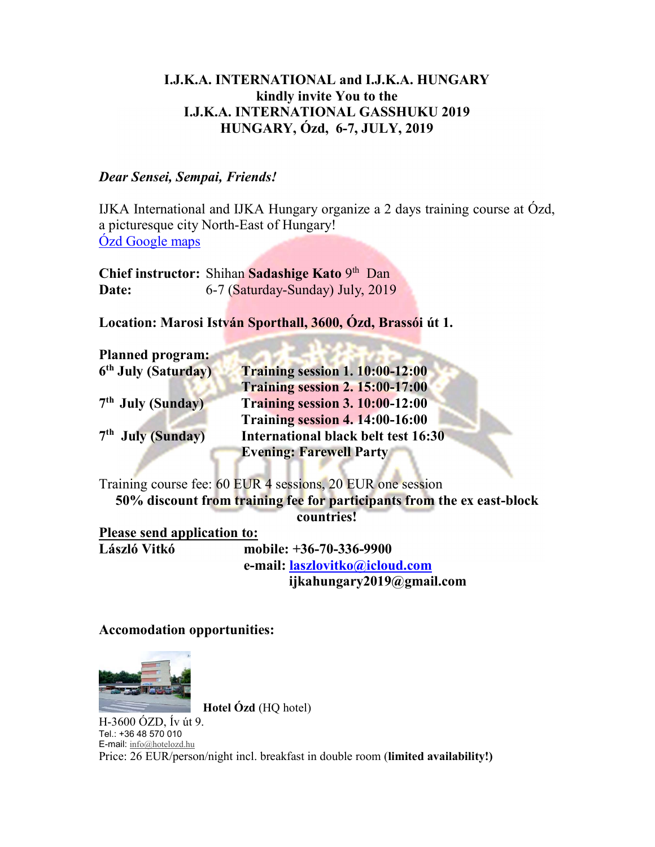## I.J.K.A. INTERNATIONAL and I.J.K.A. HUNGARY kindly invite You to the I.J.K.A. INTERNATIONAL GASSHUKU 2019 HUNGARY, Ózd, 6-7, JULY, 2019

## Dear Sensei, Sempai, Friends!

IJKA International and IJKA Hungary organize a 2 days training course at Ózd, a picturesque city North-East of Hungary! Ózd Google maps

Chief instructor: Shihan Sadashige Kato 9th Dan Date: 6-7 (Saturday-Sunday) July, 2019

Location: Marosi István Sporthall, 3600, Ózd, Brassói út 1.

| <b>Planned program:</b>         |                                        |
|---------------------------------|----------------------------------------|
| 6 <sup>th</sup> July (Saturday) | <b>Training session 1. 10:00-12:00</b> |
|                                 | <b>Training session 2. 15:00-17:00</b> |
| 7 <sup>th</sup> July (Sunday)   | <b>Training session 3. 10:00-12:00</b> |
|                                 | <b>Training session 4. 14:00-16:00</b> |
| 7 <sup>th</sup> July (Sunday)   | International black belt test 16:30    |
|                                 | <b>Evening: Farewell Party</b>         |
|                                 |                                        |

Training course fee: 60 EUR 4 sessions, 20 EUR one session 50% discount from training fee for participants from the ex east-block countries!

Please send application to:<br>László Vitkó mo

mobile: +36-70-336-9900 e-mail: laszlovitko@icloud.com ijkahungary2019@gmail.com

Accomodation opportunities:



 Hotel Ózd (HQ hotel) H-3600 ÓZD, Ív út 9. Tel.: +36 48 570 010 E-mail: info@hotelozd.hu

Price: 26 EUR/person/night incl. breakfast in double room (limited availability!)